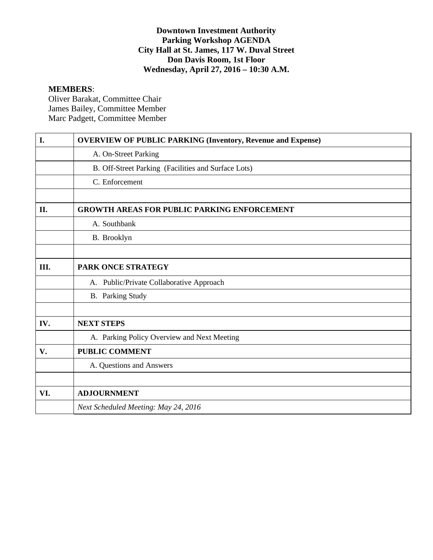#### **Downtown Investment Authority Parking Workshop AGENDA City Hall at St. James, 117 W. Duval Street Don Davis Room, 1st Floor Wednesday, April 27, 2016 – 10:30 A.M.**

## **MEMBERS**:

Oliver Barakat, Committee Chair James Bailey, Committee Member Marc Padgett, Committee Member

| I.  | <b>OVERVIEW OF PUBLIC PARKING (Inventory, Revenue and Expense)</b> |
|-----|--------------------------------------------------------------------|
|     | A. On-Street Parking                                               |
|     | B. Off-Street Parking (Facilities and Surface Lots)                |
|     | C. Enforcement                                                     |
|     |                                                                    |
| II. | <b>GROWTH AREAS FOR PUBLIC PARKING ENFORCEMENT</b>                 |
|     | A. Southbank                                                       |
|     | B. Brooklyn                                                        |
|     |                                                                    |
| Ш.  | <b>PARK ONCE STRATEGY</b>                                          |
|     | A. Public/Private Collaborative Approach                           |
|     | <b>B.</b> Parking Study                                            |
|     |                                                                    |
| IV. | <b>NEXT STEPS</b>                                                  |
|     | A. Parking Policy Overview and Next Meeting                        |
| V.  | <b>PUBLIC COMMENT</b>                                              |
|     | A. Questions and Answers                                           |
|     |                                                                    |
| VI. | <b>ADJOURNMENT</b>                                                 |
|     | Next Scheduled Meeting: May 24, 2016                               |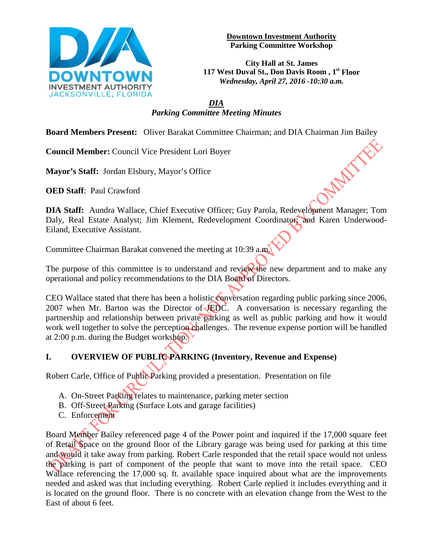

**Downtown Investment Authority Parking Committee Workshop** 

**City Hall at St. James 117 West Duval St., Don Davis Room , 1st Floor** *Wednesday, April 27, 2016 -10:30 a.m.*

## *DIA Parking Committee Meeting Minutes*

**Board Members Present:** Oliver Barakat Committee Chairman; and DIA Chairman Jim Bailey<br> **Council Member:** Council Vice President Lori Boyer<br> **Mayor's Staff:** Jordan Elsbury, Mayor's Office<br> **OED Staff**: Part C

**Council Member:** Council Vice President Lori Boyer

**Mayor's Staff:** Jordan Elsbury, Mayor's Office

**OED Staff**: Paul Crawford

**DIA Staff:** Aundra Wallace, Chief Executive Officer; Guy Parola, Redevelopment Manager; Tom Daly, Real Estate Analyst; Jim Klement, Redevelopment Coordinator; and Karen Underwood-Eiland, Executive Assistant.

Committee Chairman Barakat convened the meeting at 10:39 a.m.

The purpose of this committee is to understand and review the new department and to make any operational and policy recommendations to the DIA Board of Directors.

CEO Wallace stated that there has been a holistic conversation regarding public parking since 2006, 2007 when Mr. Barton was the Director of JEDC. A conversation is necessary regarding the partnership and relationship between private parking as well as public parking and how it would work well together to solve the perception challenges. The revenue expense portion will be handled at 2:00 p.m. during the Budget workshop.

## **I. OVERVIEW OF PUBLIC PARKING (Inventory, Revenue and Expense)**

Robert Carle, Office of Public Parking provided a presentation. Presentation on file

- A. On-Street Parking relates to maintenance, parking meter section
- B. Off-Street Parking (Surface Lots and garage facilities)
- C. Enforcement

Board Member Bailey referenced page 4 of the Power point and inquired if the 17,000 square feet of Retail Space on the ground floor of the Library garage was being used for parking at this time and would it take away from parking. Robert Carle responded that the retail space would not unless the parking is part of component of the people that want to move into the retail space. CEO Wallace referencing the 17,000 sq. ft. available space inquired about what are the improvements needed and asked was that including everything. Robert Carle replied it includes everything and it is located on the ground floor. There is no concrete with an elevation change from the West to the East of about 6 feet.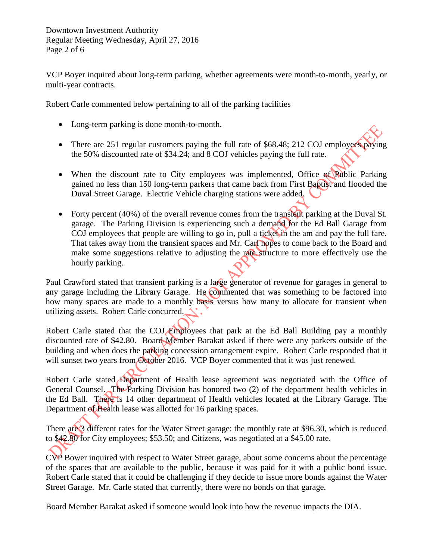VCP Boyer inquired about long-term parking, whether agreements were month-to-month, yearly, or multi-year contracts.

Robert Carle commented below pertaining to all of the parking facilities

- Long-term parking is done month-to-month.
- There are 251 regular customers paying the full rate of \$68.48; 212 COJ employees paying the 50% discounted rate of \$34.24; and 8 COJ vehicles paying the full rate.
- When the discount rate to City employees was implemented, Office of Public Parking gained no less than 150 long-term parkers that came back from First Baptist and flooded the Duval Street Garage. Electric Vehicle charging stations were added.
- Forty percent (40%) of the overall revenue comes from the transient parking at the Duval St. garage. The Parking Division is experiencing such a demand for the Ed Ball Garage from COJ employees that people are willing to go in, pull a ticket in the am and pay the full fare. That takes away from the transient spaces and Mr. Carl hopes to come back to the Board and make some suggestions relative to adjusting the rate structure to more effectively use the hourly parking.

Paul Crawford stated that transient parking is a large generator of revenue for garages in general to any garage including the Library Garage. He commented that was something to be factored into how many spaces are made to a monthly basis versus how many to allocate for transient when utilizing assets. Robert Carle concurred.

Robert Carle stated that the COJ Employees that park at the Ed Ball Building pay a monthly discounted rate of \$42.80. Board Member Barakat asked if there were any parkers outside of the building and when does the parking concession arrangement expire. Robert Carle responded that it will sunset two years from October 2016. VCP Boyer commented that it was just renewed.

Robert Carle stated Department of Health lease agreement was negotiated with the Office of General Counsel. The Parking Division has honored two  $(2)$  of the department health vehicles in the Ed Ball. There is 14 other department of Health vehicles located at the Library Garage. The Department of Health lease was allotted for 16 parking spaces.

There are 3 different rates for the Water Street garage: the monthly rate at \$96.30, which is reduced to \$42.80 for City employees; \$53.50; and Citizens, was negotiated at a \$45.00 rate.

CVP Bower inquired with respect to Water Street garage, about some concerns about the percentage of the spaces that are available to the public, because it was paid for it with a public bond issue. Robert Carle stated that it could be challenging if they decide to issue more bonds against the Water Street Garage. Mr. Carle stated that currently, there were no bonds on that garage.

Board Member Barakat asked if someone would look into how the revenue impacts the DIA.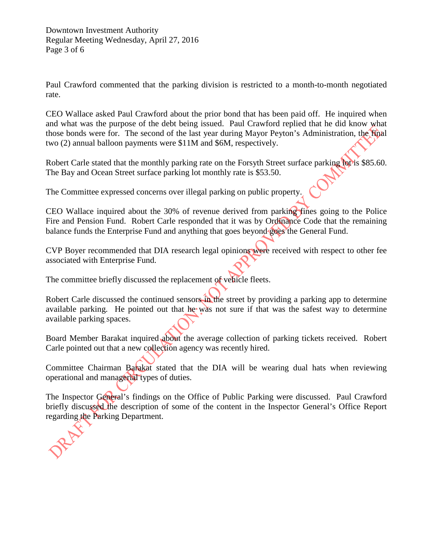Paul Crawford commented that the parking division is restricted to a month-to-month negotiated rate.

CEO Wallace asked Paul Crawford about the prior bond that has been paid off. He inquired when and what was the purpose of the debt being issued. Paul Crawford replied that he did know what those bonds were for. The second of the last year during Mayor Peyton's Administration, the final two (2) annual balloon payments were \$11M and \$6M, respectively.

Robert Carle stated that the monthly parking rate on the Forsyth Street surface parking lot is \$85.60. The Bay and Ocean Street surface parking lot monthly rate is \$53.50.

The Committee expressed concerns over illegal parking on public property.

CEO Wallace inquired about the 30% of revenue derived from parking fines going to the Police Fire and Pension Fund. Robert Carle responded that it was by Ordinance Code that the remaining balance funds the Enterprise Fund and anything that goes beyond goes the General Fund.

CVP Boyer recommended that DIA research legal opinions were received with respect to other fee associated with Enterprise Fund.

The committee briefly discussed the replacement of vehicle fleets.

Robert Carle discussed the continued sensors in the street by providing a parking app to determine available parking. He pointed out that he was not sure if that was the safest way to determine available parking spaces.

Board Member Barakat inquired about the average collection of parking tickets received. Robert Carle pointed out that a new collection agency was recently hired.

Committee Chairman Barakat stated that the DIA will be wearing dual hats when reviewing operational and managerial types of duties.

The Inspector General's findings on the Office of Public Parking were discussed. Paul Crawford briefly discussed the description of some of the content in the Inspector General's Office Report regarding the Parking Department.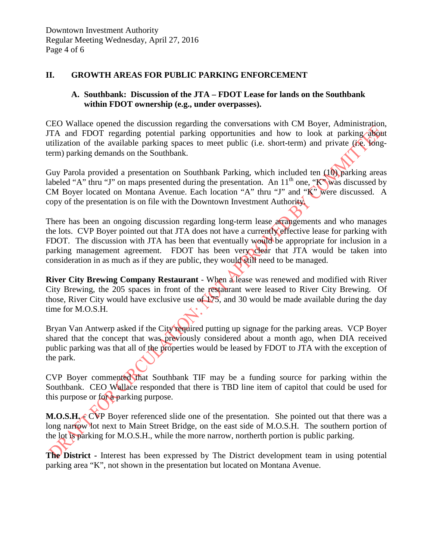#### **II. GROWTH AREAS FOR PUBLIC PARKING ENFORCEMENT**

#### **A. Southbank: Discussion of the JTA – FDOT Lease for lands on the Southbank within FDOT ownership (e.g., under overpasses).**

CEO Wallace opened the discussion regarding the conversations with CM Boyer, Administration, JTA and FDOT regarding potential parking opportunities and how to look at parking about utilization of the available parking spaces to meet public (i.e. short-term) and private (i.e. longterm) parking demands on the Southbank.

Guy Parola provided a presentation on Southbank Parking, which included ten (10) parking areas labeled "A" thru "J" on maps presented during the presentation. An  $11<sup>th</sup>$  one, "K" was discussed by CM Boyer located on Montana Avenue. Each location "A" thru "J" and "K" were discussed. A copy of the presentation is on file with the Downtown Investment Authority.

There has been an ongoing discussion regarding long-term lease arrangements and who manages the lots. CVP Boyer pointed out that JTA does not have a currently effective lease for parking with FDOT. The discussion with JTA has been that eventually would be appropriate for inclusion in a parking management agreement. FDOT has been very clear that JTA would be taken into consideration in as much as if they are public, they would still need to be managed.

**River City Brewing Company Restaurant** - When a lease was renewed and modified with River City Brewing, the 205 spaces in front of the restaurant were leased to River City Brewing. Of those, River City would have exclusive use of  $175$ , and 30 would be made available during the day time for M.O.S.H.

Bryan Van Antwerp asked if the City required putting up signage for the parking areas. VCP Boyer shared that the concept that was previously considered about a month ago, when DIA received public parking was that all of the properties would be leased by FDOT to JTA with the exception of the park.

CVP Boyer commented that Southbank TIF may be a funding source for parking within the Southbank. CEO Wallace responded that there is TBD line item of capitol that could be used for this purpose or for a parking purpose.

**M.O.S.H.** CVP Boyer referenced slide one of the presentation. She pointed out that there was a long narrow lot next to Main Street Bridge, on the east side of M.O.S.H. The southern portion of the lot is parking for M.O.S.H., while the more narrow, northerth portion is public parking.

**The District** - Interest has been expressed by The District development team in using potential parking area "K", not shown in the presentation but located on Montana Avenue.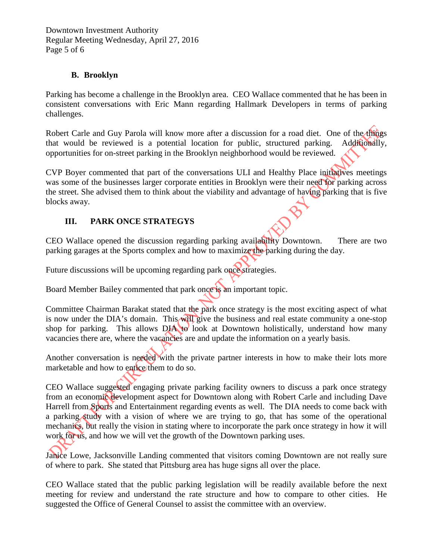Downtown Investment Authority Regular Meeting Wednesday, April 27, 2016 Page 5 of 6

### **B. Brooklyn**

Parking has become a challenge in the Brooklyn area. CEO Wallace commented that he has been in consistent conversations with Eric Mann regarding Hallmark Developers in terms of parking challenges.

Robert Carle and Guy Parola will know more after a discussion for a road diet. One of the things that would be reviewed is a potential location for public, structured parking. Additionally, opportunities for on-street parking in the Brooklyn neighborhood would be reviewed.

CVP Boyer commented that part of the conversations ULI and Healthy Place initiatives meetings was some of the businesses larger corporate entities in Brooklyn were their need for parking across the street. She advised them to think about the viability and advantage of having parking that is five blocks away.

# **III. PARK ONCE STRATEGYS**

CEO Wallace opened the discussion regarding parking availability Downtown. There are two parking garages at the Sports complex and how to maximize the parking during the day.

Future discussions will be upcoming regarding park once strategies.

Board Member Bailey commented that park once is an important topic.

Committee Chairman Barakat stated that the park once strategy is the most exciting aspect of what is now under the DIA's domain. This will give the business and real estate community a one-stop shop for parking. This allows DIA to look at Downtown holistically, understand how many vacancies there are, where the vacancies are and update the information on a yearly basis.

Another conversation is needed with the private partner interests in how to make their lots more marketable and how to entice them to do so.

CEO Wallace suggested engaging private parking facility owners to discuss a park once strategy from an economic development aspect for Downtown along with Robert Carle and including Dave Harrell from Sports and Entertainment regarding events as well. The DIA needs to come back with a parking study with a vision of where we are trying to go, that has some of the operational mechanics, but really the vision in stating where to incorporate the park once strategy in how it will work for us, and how we will vet the growth of the Downtown parking uses.

Janice Lowe, Jacksonville Landing commented that visitors coming Downtown are not really sure of where to park. She stated that Pittsburg area has huge signs all over the place.

CEO Wallace stated that the public parking legislation will be readily available before the next meeting for review and understand the rate structure and how to compare to other cities. He suggested the Office of General Counsel to assist the committee with an overview.